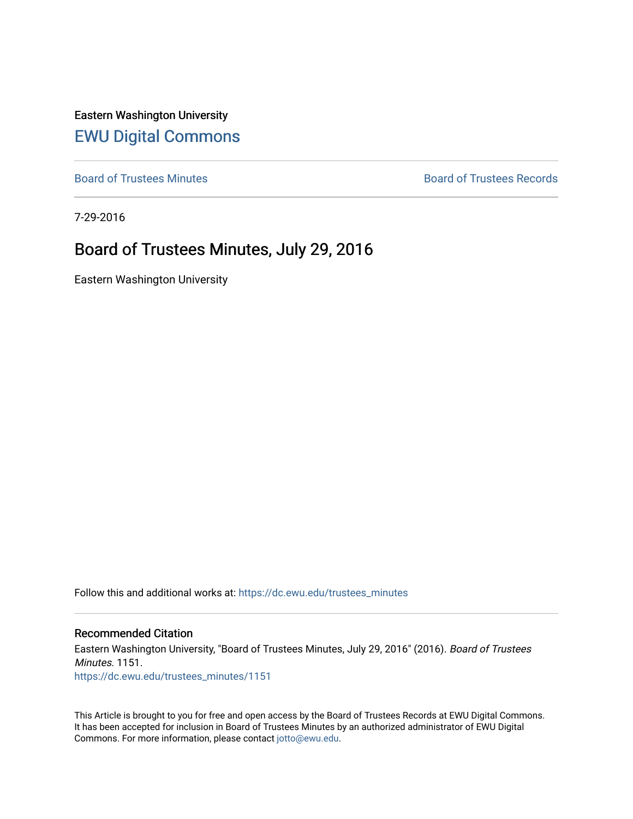Eastern Washington University [EWU Digital Commons](https://dc.ewu.edu/)

[Board of Trustees Minutes](https://dc.ewu.edu/trustees_minutes) **Board of Trustees Records Board of Trustees Records** 

7-29-2016

# Board of Trustees Minutes, July 29, 2016

Eastern Washington University

Follow this and additional works at: [https://dc.ewu.edu/trustees\\_minutes](https://dc.ewu.edu/trustees_minutes?utm_source=dc.ewu.edu%2Ftrustees_minutes%2F1151&utm_medium=PDF&utm_campaign=PDFCoverPages) 

#### Recommended Citation

Eastern Washington University, "Board of Trustees Minutes, July 29, 2016" (2016). Board of Trustees Minutes. 1151. [https://dc.ewu.edu/trustees\\_minutes/1151](https://dc.ewu.edu/trustees_minutes/1151?utm_source=dc.ewu.edu%2Ftrustees_minutes%2F1151&utm_medium=PDF&utm_campaign=PDFCoverPages) 

This Article is brought to you for free and open access by the Board of Trustees Records at EWU Digital Commons. It has been accepted for inclusion in Board of Trustees Minutes by an authorized administrator of EWU Digital Commons. For more information, please contact [jotto@ewu.edu.](mailto:jotto@ewu.edu)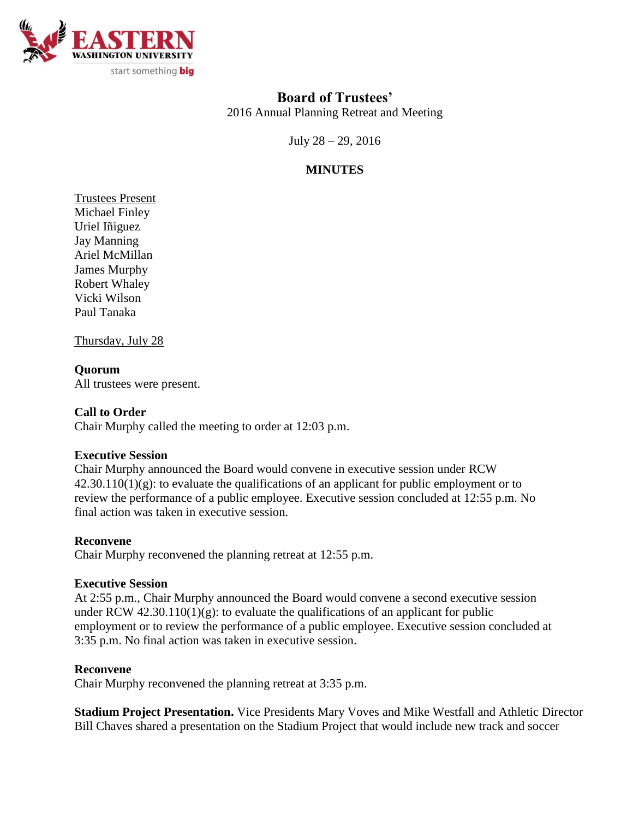

# **Board of Trustees'**

2016 Annual Planning Retreat and Meeting

July 28 – 29, 2016

## **MINUTES**

Trustees Present Michael Finley Uriel Iñiguez Jay Manning Ariel McMillan James Murphy Robert Whaley Vicki Wilson Paul Tanaka

Thursday, July 28

### **Quorum**

All trustees were present.

#### **Call to Order**

Chair Murphy called the meeting to order at 12:03 p.m.

#### **Executive Session**

Chair Murphy announced the Board would convene in executive session under RCW  $42.30.110(1)(g)$ : to evaluate the qualifications of an applicant for public employment or to review the performance of a public employee. Executive session concluded at 12:55 p.m. No final action was taken in executive session.

#### **Reconvene**

Chair Murphy reconvened the planning retreat at 12:55 p.m.

#### **Executive Session**

At 2:55 p.m., Chair Murphy announced the Board would convene a second executive session under RCW  $42.30.110(1)(g)$ : to evaluate the qualifications of an applicant for public employment or to review the performance of a public employee. Executive session concluded at 3:35 p.m. No final action was taken in executive session.

#### **Reconvene**

Chair Murphy reconvened the planning retreat at 3:35 p.m.

**Stadium Project Presentation.** Vice Presidents Mary Voves and Mike Westfall and Athletic Director Bill Chaves shared a presentation on the Stadium Project that would include new track and soccer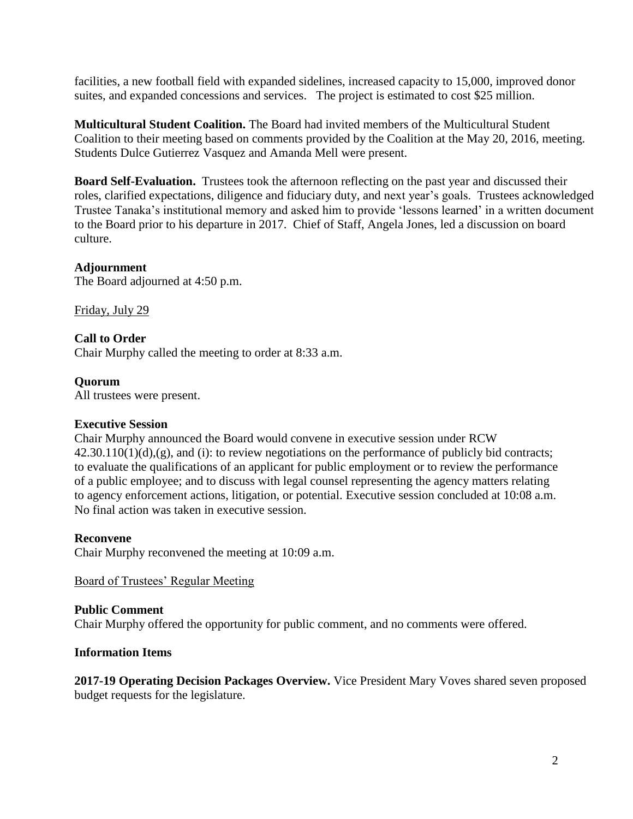facilities, a new football field with expanded sidelines, increased capacity to 15,000, improved donor suites, and expanded concessions and services. The project is estimated to cost \$25 million.

**Multicultural Student Coalition.** The Board had invited members of the Multicultural Student Coalition to their meeting based on comments provided by the Coalition at the May 20, 2016, meeting. Students Dulce Gutierrez Vasquez and Amanda Mell were present.

**Board Self-Evaluation.** Trustees took the afternoon reflecting on the past year and discussed their roles, clarified expectations, diligence and fiduciary duty, and next year's goals. Trustees acknowledged Trustee Tanaka's institutional memory and asked him to provide 'lessons learned' in a written document to the Board prior to his departure in 2017. Chief of Staff, Angela Jones, led a discussion on board culture.

#### **Adjournment**

The Board adjourned at 4:50 p.m.

Friday, July 29

#### **Call to Order**

Chair Murphy called the meeting to order at 8:33 a.m.

#### **Quorum**

All trustees were present.

#### **Executive Session**

Chair Murphy announced the Board would convene in executive session under RCW  $42.30.110(1)(d)$ , (g), and (i): to review negotiations on the performance of publicly bid contracts; to evaluate the qualifications of an applicant for public employment or to review the performance of a public employee; and to discuss with legal counsel representing the agency matters relating to agency enforcement actions, litigation, or potential. Executive session concluded at 10:08 a.m. No final action was taken in executive session.

#### **Reconvene**

Chair Murphy reconvened the meeting at 10:09 a.m.

Board of Trustees' Regular Meeting

#### **Public Comment**

Chair Murphy offered the opportunity for public comment, and no comments were offered.

#### **Information Items**

**2017-19 Operating Decision Packages Overview.** Vice President Mary Voves shared seven proposed budget requests for the legislature.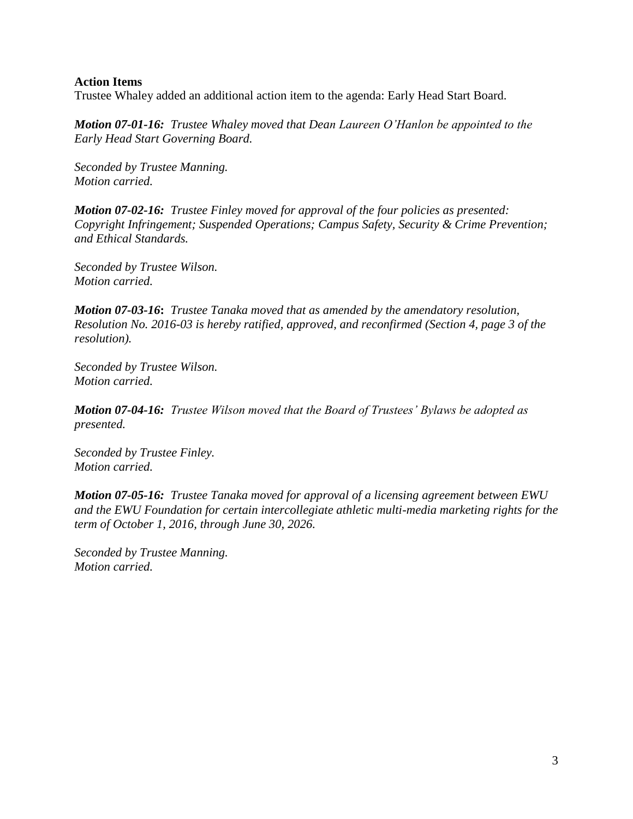#### **Action Items**

Trustee Whaley added an additional action item to the agenda: Early Head Start Board.

*Motion 07-01-16: Trustee Whaley moved that Dean Laureen O'Hanlon be appointed to the Early Head Start Governing Board.*

*Seconded by Trustee Manning. Motion carried.*

*Motion 07-02-16: Trustee Finley moved for approval of the four policies as presented: Copyright Infringement; Suspended Operations; Campus Safety, Security & Crime Prevention; and Ethical Standards.*

*Seconded by Trustee Wilson. Motion carried.*

*Motion 07-03-16***:** *Trustee Tanaka moved that as amended by the amendatory resolution, Resolution No. 2016-03 is hereby ratified, approved, and reconfirmed (Section 4, page 3 of the resolution).*

*Seconded by Trustee Wilson. Motion carried.*

*Motion 07-04-16: Trustee Wilson moved that the Board of Trustees' Bylaws be adopted as presented.*

*Seconded by Trustee Finley. Motion carried.*

*Motion 07-05-16: Trustee Tanaka moved for approval of a licensing agreement between EWU and the EWU Foundation for certain intercollegiate athletic multi-media marketing rights for the term of October 1, 2016, through June 30, 2026.*

*Seconded by Trustee Manning. Motion carried.*